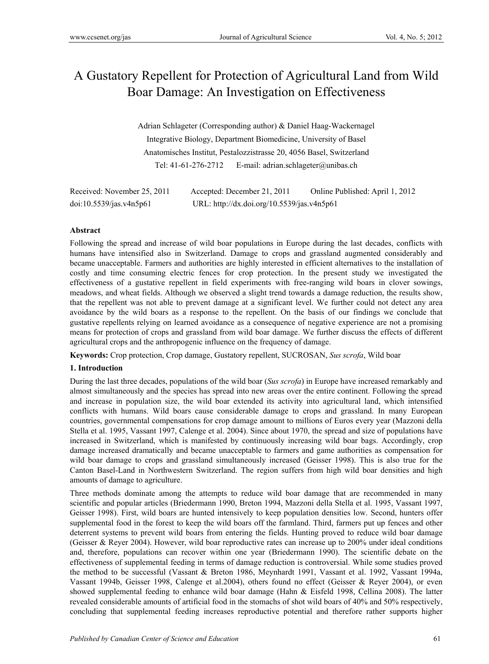# A Gustatory Repellent for Protection of Agricultural Land from Wild Boar Damage: An Investigation on Effectiveness

Adrian Schlageter (Corresponding author) & Daniel Haag-Wackernagel Integrative Biology, Department Biomedicine, University of Basel Anatomisches Institut, Pestalozzistrasse 20, 4056 Basel, Switzerland Tel: 41-61-276-2712 E-mail: adrian.schlageter@unibas.ch

| Received: November 25, 2011 | Accepted: December 21, 2011                | Online Published: April 1, 2012 |
|-----------------------------|--------------------------------------------|---------------------------------|
| doi:10.5539/jas.v4n5p61     | URL: http://dx.doi.org/10.5539/jas.v4n5p61 |                                 |

## **Abstract**

Following the spread and increase of wild boar populations in Europe during the last decades, conflicts with humans have intensified also in Switzerland. Damage to crops and grassland augmented considerably and became unacceptable. Farmers and authorities are highly interested in efficient alternatives to the installation of costly and time consuming electric fences for crop protection. In the present study we investigated the effectiveness of a gustative repellent in field experiments with free-ranging wild boars in clover sowings, meadows, and wheat fields. Although we observed a slight trend towards a damage reduction, the results show, that the repellent was not able to prevent damage at a significant level. We further could not detect any area avoidance by the wild boars as a response to the repellent. On the basis of our findings we conclude that gustative repellents relying on learned avoidance as a consequence of negative experience are not a promising means for protection of crops and grassland from wild boar damage. We further discuss the effects of different agricultural crops and the anthropogenic influence on the frequency of damage.

**Keywords:** Crop protection, Crop damage, Gustatory repellent, SUCROSAN, *Sus scrofa*, Wild boar

## **1. Introduction**

During the last three decades, populations of the wild boar (*Sus scrofa*) in Europe have increased remarkably and almost simultaneously and the species has spread into new areas over the entire continent. Following the spread and increase in population size, the wild boar extended its activity into agricultural land, which intensified conflicts with humans. Wild boars cause considerable damage to crops and grassland. In many European countries, governmental compensations for crop damage amount to millions of Euros every year (Mazzoni della Stella et al. 1995, Vassant 1997, Calenge et al. 2004). Since about 1970, the spread and size of populations have increased in Switzerland, which is manifested by continuously increasing wild boar bags. Accordingly, crop damage increased dramatically and became unacceptable to farmers and game authorities as compensation for wild boar damage to crops and grassland simultaneously increased (Geisser 1998). This is also true for the Canton Basel-Land in Northwestern Switzerland. The region suffers from high wild boar densities and high amounts of damage to agriculture.

Three methods dominate among the attempts to reduce wild boar damage that are recommended in many scientific and popular articles (Briedermann 1990, Breton 1994, Mazzoni della Stella et al. 1995, Vassant 1997, Geisser 1998). First, wild boars are hunted intensively to keep population densities low. Second, hunters offer supplemental food in the forest to keep the wild boars off the farmland. Third, farmers put up fences and other deterrent systems to prevent wild boars from entering the fields. Hunting proved to reduce wild boar damage (Geisser & Reyer 2004). However, wild boar reproductive rates can increase up to 200% under ideal conditions and, therefore, populations can recover within one year (Briedermann 1990). The scientific debate on the effectiveness of supplemental feeding in terms of damage reduction is controversial. While some studies proved the method to be successful (Vassant & Breton 1986, Meynhardt 1991, Vassant et al. 1992, Vassant 1994a, Vassant 1994b, Geisser 1998, Calenge et al.2004), others found no effect (Geisser & Reyer 2004), or even showed supplemental feeding to enhance wild boar damage (Hahn & Eisfeld 1998, Cellina 2008). The latter revealed considerable amounts of artificial food in the stomachs of shot wild boars of 40% and 50% respectively, concluding that supplemental feeding increases reproductive potential and therefore rather supports higher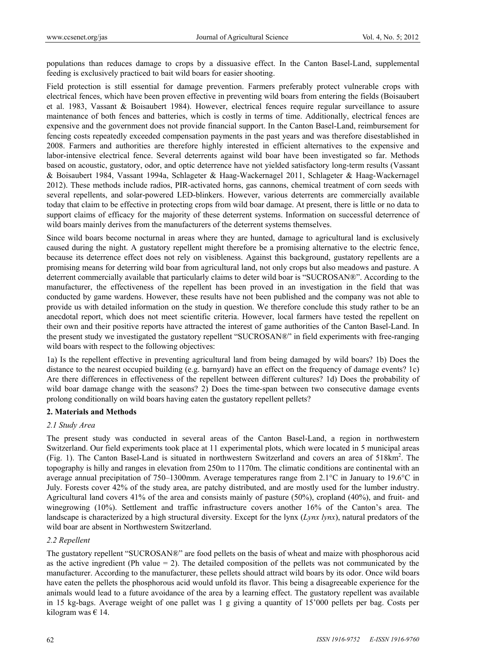populations than reduces damage to crops by a dissuasive effect. In the Canton Basel-Land, supplemental feeding is exclusively practiced to bait wild boars for easier shooting.

Field protection is still essential for damage prevention. Farmers preferably protect vulnerable crops with electrical fences, which have been proven effective in preventing wild boars from entering the fields (Boisaubert et al. 1983, Vassant & Boisaubert 1984). However, electrical fences require regular surveillance to assure maintenance of both fences and batteries, which is costly in terms of time. Additionally, electrical fences are expensive and the government does not provide financial support. In the Canton Basel-Land, reimbursement for fencing costs repeatedly exceeded compensation payments in the past years and was therefore disestablished in 2008. Farmers and authorities are therefore highly interested in efficient alternatives to the expensive and labor-intensive electrical fence. Several deterrents against wild boar have been investigated so far. Methods based on acoustic, gustatory, odor, and optic deterrence have not yielded satisfactory long-term results (Vassant & Boisaubert 1984, Vassant 1994a, Schlageter & Haag-Wackernagel 2011, Schlageter & Haag-Wackernagel 2012). These methods include radios, PIR-activated horns, gas cannons, chemical treatment of corn seeds with several repellents, and solar-powered LED-blinkers. However, various deterrents are commercially available today that claim to be effective in protecting crops from wild boar damage. At present, there is little or no data to support claims of efficacy for the majority of these deterrent systems. Information on successful deterrence of wild boars mainly derives from the manufacturers of the deterrent systems themselves.

Since wild boars become nocturnal in areas where they are hunted, damage to agricultural land is exclusively caused during the night. A gustatory repellent might therefore be a promising alternative to the electric fence, because its deterrence effect does not rely on visibleness. Against this background, gustatory repellents are a promising means for deterring wild boar from agricultural land, not only crops but also meadows and pasture. A deterrent commercially available that particularly claims to deter wild boar is "SUCROSAN®". According to the manufacturer, the effectiveness of the repellent has been proved in an investigation in the field that was conducted by game wardens. However, these results have not been published and the company was not able to provide us with detailed information on the study in question. We therefore conclude this study rather to be an anecdotal report, which does not meet scientific criteria. However, local farmers have tested the repellent on their own and their positive reports have attracted the interest of game authorities of the Canton Basel-Land. In the present study we investigated the gustatory repellent "SUCROSAN®" in field experiments with free-ranging wild boars with respect to the following objectives:

1a) Is the repellent effective in preventing agricultural land from being damaged by wild boars? 1b) Does the distance to the nearest occupied building (e.g. barnyard) have an effect on the frequency of damage events? 1c) Are there differences in effectiveness of the repellent between different cultures? 1d) Does the probability of wild boar damage change with the seasons? 2) Does the time-span between two consecutive damage events prolong conditionally on wild boars having eaten the gustatory repellent pellets?

## **2. Materials and Methods**

## *2.1 Study Area*

The present study was conducted in several areas of the Canton Basel-Land, a region in northwestern Switzerland. Our field experiments took place at 11 experimental plots, which were located in 5 municipal areas (Fig. 1). The Canton Basel-Land is situated in northwestern Switzerland and covers an area of 518km<sup>2</sup>. The topography is hilly and ranges in elevation from 250m to 1170m. The climatic conditions are continental with an average annual precipitation of 750–1300mm. Average temperatures range from 2.1°C in January to 19.6°C in July. Forests cover 42% of the study area, are patchy distributed, and are mostly used for the lumber industry. Agricultural land covers 41% of the area and consists mainly of pasture (50%), cropland (40%), and fruit- and winegrowing (10%). Settlement and traffic infrastructure covers another 16% of the Canton's area. The landscape is characterized by a high structural diversity. Except for the lynx (*Lynx lynx*), natural predators of the wild boar are absent in Northwestern Switzerland.

## *2.2 Repellent*

The gustatory repellent "SUCROSAN®" are food pellets on the basis of wheat and maize with phosphorous acid as the active ingredient (Ph value  $= 2$ ). The detailed composition of the pellets was not communicated by the manufacturer. According to the manufacturer, these pellets should attract wild boars by its odor. Once wild boars have eaten the pellets the phosphorous acid would unfold its flavor. This being a disagreeable experience for the animals would lead to a future avoidance of the area by a learning effect. The gustatory repellent was available in 15 kg-bags. Average weight of one pallet was 1 g giving a quantity of 15'000 pellets per bag. Costs per kilogram was  $\epsilon$  14.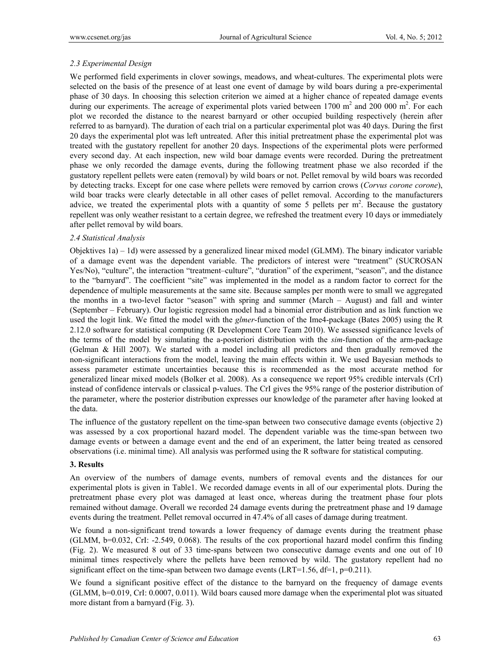## *2.3 Experimental Design*

We performed field experiments in clover sowings, meadows, and wheat-cultures. The experimental plots were selected on the basis of the presence of at least one event of damage by wild boars during a pre-experimental phase of 30 days. In choosing this selection criterion we aimed at a higher chance of repeated damage events during our experiments. The acreage of experimental plots varied between 1700  $m<sup>2</sup>$  and 200 000  $m<sup>2</sup>$ . For each plot we recorded the distance to the nearest barnyard or other occupied building respectively (herein after referred to as barnyard). The duration of each trial on a particular experimental plot was 40 days. During the first 20 days the experimental plot was left untreated. After this initial pretreatment phase the experimental plot was treated with the gustatory repellent for another 20 days. Inspections of the experimental plots were performed every second day. At each inspection, new wild boar damage events were recorded. During the pretreatment phase we only recorded the damage events, during the following treatment phase we also recorded if the gustatory repellent pellets were eaten (removal) by wild boars or not. Pellet removal by wild boars was recorded by detecting tracks. Except for one case where pellets were removed by carrion crows (*Corvus corone corone*), wild boar tracks were clearly detectable in all other cases of pellet removal. According to the manufacturers advice, we treated the experimental plots with a quantity of some 5 pellets per  $m^2$ . Because the gustatory repellent was only weather resistant to a certain degree, we refreshed the treatment every 10 days or immediately after pellet removal by wild boars.

# *2.4 Statistical Analysis*

Objektives 1a) – 1d) were assessed by a generalized linear mixed model (GLMM). The binary indicator variable of a damage event was the dependent variable. The predictors of interest were "treatment" (SUCROSAN Yes/No), "culture", the interaction "treatment–culture", "duration" of the experiment, "season", and the distance to the "barnyard". The coefficient "site" was implemented in the model as a random factor to correct for the dependence of multiple measurements at the same site. Because samples per month were to small we aggregated the months in a two-level factor "season" with spring and summer (March – August) and fall and winter (September – February). Our logistic regression model had a binomial error distribution and as link function we used the logit link. We fitted the model with the *glmer*-function of the Ime4-package (Bates 2005) using the R 2.12.0 software for statistical computing (R Development Core Team 2010). We assessed significance levels of the terms of the model by simulating the a-posteriori distribution with the *sim*-function of the arm-package (Gelman & Hill 2007). We started with a model including all predictors and then gradually removed the non-significant interactions from the model, leaving the main effects within it. We used Bayesian methods to assess parameter estimate uncertainties because this is recommended as the most accurate method for generalized linear mixed models (Bolker et al. 2008). As a consequence we report 95% credible intervals (CrI) instead of confidence intervals or classical p-values. The CrI gives the 95% range of the posterior distribution of the parameter, where the posterior distribution expresses our knowledge of the parameter after having looked at the data.

The influence of the gustatory repellent on the time-span between two consecutive damage events (objective 2) was assessed by a cox proportional hazard model. The dependent variable was the time-span between two damage events or between a damage event and the end of an experiment, the latter being treated as censored observations (i.e. minimal time). All analysis was performed using the R software for statistical computing.

## **3. Results**

An overview of the numbers of damage events, numbers of removal events and the distances for our experimental plots is given in Table1. We recorded damage events in all of our experimental plots. During the pretreatment phase every plot was damaged at least once, whereas during the treatment phase four plots remained without damage. Overall we recorded 24 damage events during the pretreatment phase and 19 damage events during the treatment. Pellet removal occurred in 47.4% of all cases of damage during treatment.

We found a non-significant trend towards a lower frequency of damage events during the treatment phase (GLMM, b=0.032, CrI: -2.549, 0.068). The results of the cox proportional hazard model confirm this finding (Fig. 2). We measured 8 out of 33 time-spans between two consecutive damage events and one out of 10 minimal times respectively where the pellets have been removed by wild. The gustatory repellent had no significant effect on the time-span between two damage events (LRT=1.56,  $df=1$ ,  $p=0.211$ ).

We found a significant positive effect of the distance to the barnyard on the frequency of damage events (GLMM, b=0.019, CrI: 0.0007, 0.011). Wild boars caused more damage when the experimental plot was situated more distant from a barnyard (Fig. 3).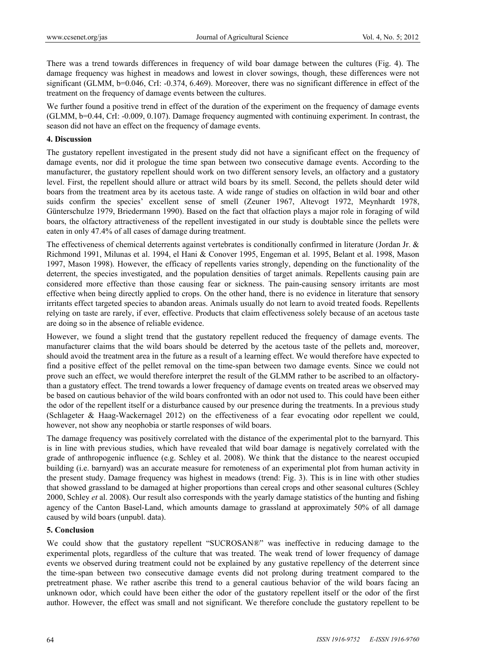There was a trend towards differences in frequency of wild boar damage between the cultures (Fig. 4). The damage frequency was highest in meadows and lowest in clover sowings, though, these differences were not significant (GLMM, b=0.046, CrI: -0.374, 6.469). Moreover, there was no significant difference in effect of the treatment on the frequency of damage events between the cultures.

We further found a positive trend in effect of the duration of the experiment on the frequency of damage events (GLMM, b=0.44, CrI: -0.009, 0.107). Damage frequency augmented with continuing experiment. In contrast, the season did not have an effect on the frequency of damage events.

#### **4. Discussion**

The gustatory repellent investigated in the present study did not have a significant effect on the frequency of damage events, nor did it prologue the time span between two consecutive damage events. According to the manufacturer, the gustatory repellent should work on two different sensory levels, an olfactory and a gustatory level. First, the repellent should allure or attract wild boars by its smell. Second, the pellets should deter wild boars from the treatment area by its acetous taste. A wide range of studies on olfaction in wild boar and other suids confirm the species' excellent sense of smell (Zeuner 1967, Altevogt 1972, Meynhardt 1978, Günterschulze 1979, Briedermann 1990). Based on the fact that olfaction plays a major role in foraging of wild boars, the olfactory attractiveness of the repellent investigated in our study is doubtable since the pellets were eaten in only 47.4% of all cases of damage during treatment.

The effectiveness of chemical deterrents against vertebrates is conditionally confirmed in literature (Jordan Jr. & Richmond 1991, Milunas et al. 1994, el Hani & Conover 1995, Engeman et al. 1995, Belant et al. 1998, Mason 1997, Mason 1998). However, the efficacy of repellents varies strongly, depending on the functionality of the deterrent, the species investigated, and the population densities of target animals. Repellents causing pain are considered more effective than those causing fear or sickness. The pain-causing sensory irritants are most effective when being directly applied to crops. On the other hand, there is no evidence in literature that sensory irritants effect targeted species to abandon areas. Animals usually do not learn to avoid treated foods. Repellents relying on taste are rarely, if ever, effective. Products that claim effectiveness solely because of an acetous taste are doing so in the absence of reliable evidence.

However, we found a slight trend that the gustatory repellent reduced the frequency of damage events. The manufacturer claims that the wild boars should be deterred by the acetous taste of the pellets and, moreover, should avoid the treatment area in the future as a result of a learning effect. We would therefore have expected to find a positive effect of the pellet removal on the time-span between two damage events. Since we could not prove such an effect, we would therefore interpret the result of the GLMM rather to be ascribed to an olfactorythan a gustatory effect. The trend towards a lower frequency of damage events on treated areas we observed may be based on cautious behavior of the wild boars confronted with an odor not used to. This could have been either the odor of the repellent itself or a disturbance caused by our presence during the treatments. In a previous study (Schlageter & Haag-Wackernagel 2012) on the effectiveness of a fear evocating odor repellent we could, however, not show any neophobia or startle responses of wild boars.

The damage frequency was positively correlated with the distance of the experimental plot to the barnyard. This is in line with previous studies, which have revealed that wild boar damage is negatively correlated with the grade of anthropogenic influence (e.g. Schley et al. 2008). We think that the distance to the nearest occupied building (i.e. barnyard) was an accurate measure for remoteness of an experimental plot from human activity in the present study. Damage frequency was highest in meadows (trend: Fig. 3). This is in line with other studies that showed grassland to be damaged at higher proportions than cereal crops and other seasonal cultures (Schley 2000, Schley *et* al. 2008). Our result also corresponds with the yearly damage statistics of the hunting and fishing agency of the Canton Basel-Land, which amounts damage to grassland at approximately 50% of all damage caused by wild boars (unpubl. data).

## **5. Conclusion**

We could show that the gustatory repellent "SUCROSAN®" was ineffective in reducing damage to the experimental plots, regardless of the culture that was treated. The weak trend of lower frequency of damage events we observed during treatment could not be explained by any gustative repellency of the deterrent since the time-span between two consecutive damage events did not prolong during treatment compared to the pretreatment phase. We rather ascribe this trend to a general cautious behavior of the wild boars facing an unknown odor, which could have been either the odor of the gustatory repellent itself or the odor of the first author. However, the effect was small and not significant. We therefore conclude the gustatory repellent to be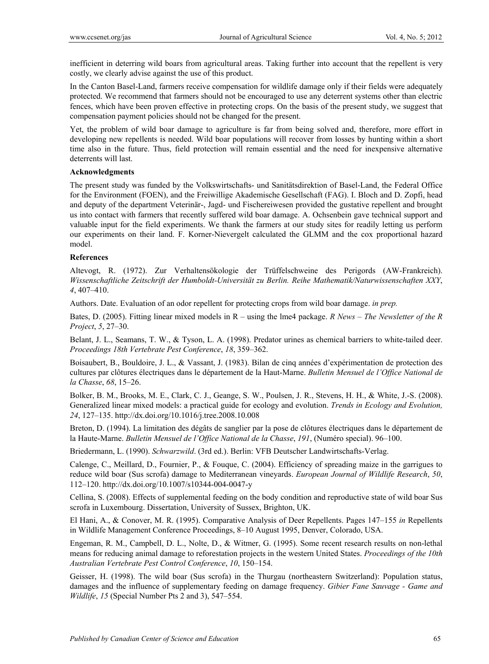inefficient in deterring wild boars from agricultural areas. Taking further into account that the repellent is very costly, we clearly advise against the use of this product.

In the Canton Basel-Land, farmers receive compensation for wildlife damage only if their fields were adequately protected. We recommend that farmers should not be encouraged to use any deterrent systems other than electric fences, which have been proven effective in protecting crops. On the basis of the present study, we suggest that compensation payment policies should not be changed for the present.

Yet, the problem of wild boar damage to agriculture is far from being solved and, therefore, more effort in developing new repellents is needed. Wild boar populations will recover from losses by hunting within a short time also in the future. Thus, field protection will remain essential and the need for inexpensive alternative deterrents will last.

#### **Acknowledgments**

The present study was funded by the Volkswirtschafts- und Sanitätsdirektion of Basel-Land, the Federal Office for the Environment (FOEN), and the Freiwillige Akademische Gesellschaft (FAG). I. Bloch and D. Zopfi, head and deputy of the department Veterinär-, Jagd- und Fischereiwesen provided the gustative repellent and brought us into contact with farmers that recently suffered wild boar damage. A. Ochsenbein gave technical support and valuable input for the field experiments. We thank the farmers at our study sites for readily letting us perform our experiments on their land. F. Korner-Nievergelt calculated the GLMM and the cox proportional hazard model.

#### **References**

Altevogt, R. (1972). Zur Verhaltensökologie der Trüffelschweine des Perigords (AW-Frankreich). *Wissenschaftliche Zeitschrift der Humboldt-Universität zu Berlin. Reihe Mathematik/Naturwissenschaften XXY*, *4*, 407–410.

Authors. Date. Evaluation of an odor repellent for protecting crops from wild boar damage. *in prep.*

Bates, D. (2005). Fitting linear mixed models in R – using the lme4 package. *R News – The Newsletter of the R Project*, *5*, 27–30.

Belant, J. L., Seamans, T. W., & Tyson, L. A. (1998). Predator urines as chemical barriers to white-tailed deer. *Proceedings 18th Vertebrate Pest Conference*, *18*, 359–362.

Boisaubert, B., Bouldoire, J. L., & Vassant, J. (1983). Bilan de cinq années d'expérimentation de protection des cultures par clôtures électriques dans le département de la Haut-Marne. *Bulletin Mensuel de l'Office National de la Chasse*, *68*, 15–26.

Bolker, B. M., Brooks, M. E., Clark, C. J., Geange, S. W., Poulsen, J. R., Stevens, H. H., & White, J.-S. (2008). Generalized linear mixed models: a practical guide for ecology and evolution. *Trends in Ecology and Evolution, 24*, 127–135. http://dx.doi.org/10.1016/j.tree.2008.10.008

Breton, D. (1994). La limitation des dégâts de sanglier par la pose de clôtures électriques dans le département de la Haute-Marne. *Bulletin Mensuel de l'Office National de la Chasse*, *191*, (Numéro special). 96–100.

Briedermann, L. (1990). *Schwarzwild*. (3rd ed.). Berlin: VFB Deutscher Landwirtschafts-Verlag.

Calenge, C., Meillard, D., Fournier, P., & Fouque, C. (2004). Efficiency of spreading maize in the garrigues to reduce wild boar (Sus scrofa) damage to Mediterranean vineyards. *European Journal of Wildlife Research*, *50*, 112–120. http://dx.doi.org/10.1007/s10344-004-0047-y

Cellina, S. (2008). Effects of supplemental feeding on the body condition and reproductive state of wild boar Sus scrofa in Luxembourg. Dissertation, University of Sussex, Brighton, UK.

El Hani, A., & Conover, M. R. (1995). Comparative Analysis of Deer Repellents. Pages 147–155 *in* Repellents in Wildlife Management Conference Proceedings, 8–10 August 1995, Denver, Colorado, USA.

Engeman, R. M., Campbell, D. L., Nolte, D., & Witmer, G. (1995). Some recent research results on non-lethal means for reducing animal damage to reforestation projects in the western United States. *Proceedings of the 10th Australian Vertebrate Pest Control Conference*, *10*, 150–154.

Geisser, H. (1998). The wild boar (Sus scrofa) in the Thurgau (northeastern Switzerland): Population status, damages and the influence of supplementary feeding on damage frequency. *Gibier Fane Sauvage - Game and Wildlife*, *15* (Special Number Pts 2 and 3), 547–554.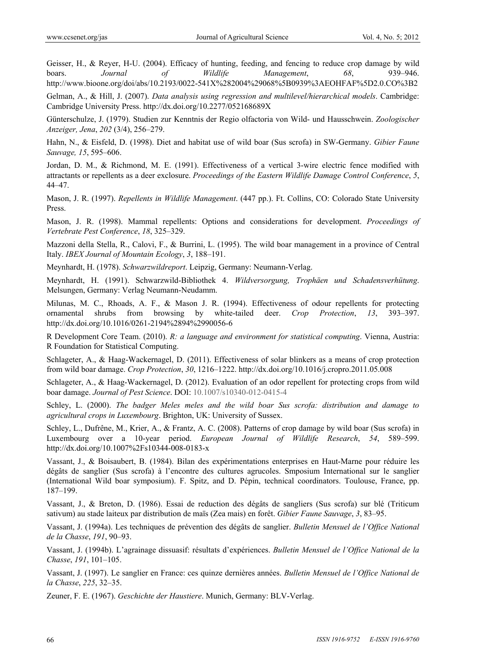Geisser, H., & Reyer, H-U. (2004). Efficacy of hunting, feeding, and fencing to reduce crop damage by wild boars. *Journal of Wildlife Management*, *68*, 939–946.

http://www.bioone.org/doi/abs/10.2193/0022-541X%282004%29068%5B0939%3AEOHFAF%5D2.0.CO%3B2

Gelman, A., & Hill, J. (2007). *Data analysis using regression and multilevel/hierarchical models*. Cambridge: Cambridge University Press. http://dx.doi.org/10.2277/052168689X

Günterschulze, J. (1979). Studien zur Kenntnis der Regio olfactoria von Wild- und Hausschwein. *Zoologischer Anzeiger, Jena*, *202* (3/4), 256–279.

Hahn, N., & Eisfeld, D. (1998). Diet and habitat use of wild boar (Sus scrofa) in SW-Germany. *Gibier Faune Sauvage, 15*, 595–606.

Jordan, D. M., & Richmond, M. E. (1991). Effectiveness of a vertical 3-wire electric fence modified with attractants or repellents as a deer exclosure. *Proceedings of the Eastern Wildlife Damage Control Conference*, *5*, 44–47.

Mason, J. R. (1997). *Repellents in Wildlife Management*. (447 pp.). Ft. Collins, CO: Colorado State University Press.

Mason, J. R. (1998). Mammal repellents: Options and considerations for development. *Proceedings of Vertebrate Pest Conference*, *18*, 325–329.

Mazzoni della Stella, R., Calovi, F., & Burrini, L. (1995). The wild boar management in a province of Central Italy. *IBEX Journal of Mountain Ecology*, *3*, 188–191.

Meynhardt, H. (1978). *Schwarzwildreport*. Leipzig, Germany: Neumann-Verlag.

Meynhardt, H. (1991). Schwarzwild-Bibliothek 4. *Wildversorgung, Trophäen und Schadensverhütung*. Melsungen, Germany: Verlag Neumann-Neudamm.

Milunas, M. C., Rhoads, A. F., & Mason J. R. (1994). Effectiveness of odour repellents for protecting ornamental shrubs from browsing by white-tailed deer. *Crop Protection*, *13*, 393–397. http://dx.doi.org/10.1016/0261-2194%2894%2990056-6

R Development Core Team. (2010). *R: a language and environment for statistical computing*. Vienna, Austria: R Foundation for Statistical Computing.

Schlageter, A., & Haag-Wackernagel, D. (2011). Effectiveness of solar blinkers as a means of crop protection from wild boar damage. *Crop Protection*, *30*, 1216–1222. http://dx.doi.org/10.1016/j.cropro.2011.05.008

Schlageter, A., & Haag-Wackernagel, D. (2012). Evaluation of an odor repellent for protecting crops from wild boar damage. *Journal of Pest Science*. DOI: 10.1007/s10340-012-0415-4

Schley, L. (2000). *The badger Meles meles and the wild boar Sus scrofa: distribution and damage to agricultural crops in Luxembourg*. Brighton, UK: University of Sussex.

Schley, L., Dufrêne, M., Krier, A., & Frantz, A. C. (2008). Patterns of crop damage by wild boar (Sus scrofa) in Luxembourg over a 10-year period. *European Journal of Wildlife Research*, *54*, 589–599. http://dx.doi.org/10.1007%2Fs10344-008-0183-x

Vassant, J., & Boisaubert, B. (1984). Bilan des expérimentations enterprises en Haut-Marne pour réduire les dégâts de sanglier (Sus scrofa) à l'encontre des cultures agrucoles. Smposium International sur le sanglier (International Wild boar symposium). F. Spitz, and D. Pépin, technical coordinators. Toulouse, France, pp. 187–199.

Vassant, J., & Breton, D. (1986). Essai de reduction des dégâts de sangliers (Sus scrofa) sur blé (Triticum sativum) au stade laiteux par distribution de maïs (Zea mais) en forêt. *Gibier Faune Sauvage*, *3*, 83–95.

Vassant, J. (1994a). Les techniques de prévention des dégâts de sanglier. *Bulletin Mensuel de l'Office National de la Chasse*, *191*, 90–93.

Vassant, J. (1994b). L'agrainage dissuasif: résultats d'expériences. *Bulletin Mensuel de l'Office National de la Chasse*, *191*, 101–105.

Vassant, J. (1997). Le sanglier en France: ces quinze dernières années. *Bulletin Mensuel de l'Office National de la Chasse*, *225*, 32–35.

Zeuner, F. E. (1967). *Geschichte der Haustiere*. Munich, Germany: BLV-Verlag.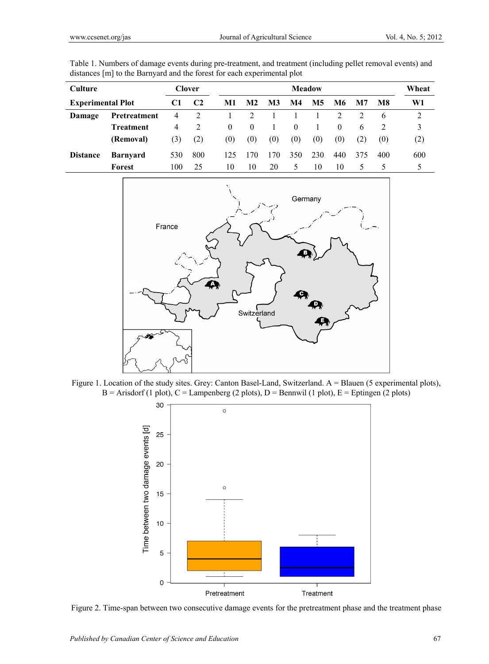| <b>Culture</b>           |                  | <b>Clover</b>  |                | <b>Meadow</b> |                    |     |          |     |          | Wheat |     |     |
|--------------------------|------------------|----------------|----------------|---------------|--------------------|-----|----------|-----|----------|-------|-----|-----|
| <b>Experimental Plot</b> |                  | C <sub>1</sub> | C <sub>2</sub> | M1            | $\bf M2$           | M3  | M4       | M5  | M6       | М7    | M8  | W1  |
| Damage                   | Pretreatment     | 4              | 2              |               |                    |     |          |     |          |       | 6   |     |
|                          | <b>Treatment</b> | 4              | 2              | $\theta$      | $\left( 0 \right)$ |     | $\theta$ |     | $\theta$ | 6     | 2   | 3   |
|                          | (Removal)        | (3)            | (2)            | (0)           | (0)                | (0) | (0)      | (0) | (0)      | (2)   | (0) | (2) |
| <b>Distance</b>          | <b>Barnyard</b>  | 530            | 800            | 125           | 170                | 170 | 350      | 230 | 440      | 375   | 400 | 600 |
|                          | Forest           | 100            | 25             | 10            | 10                 | 20  | 5        | 10  | 10       |       |     |     |

Table 1. Numbers of damage events during pre-treatment, and treatment (including pellet removal events) and distances [m] to the Barnyard and the forest for each experimental plot



Figure 1. Location of the study sites. Grey: Canton Basel-Land, Switzerland. A = Blauen (5 experimental plots),  $B =$  Arisdorf (1 plot),  $C =$  Lampenberg (2 plots),  $D =$  Bennwil (1 plot),  $E =$  Eptingen (2 plots)



Figure 2. Time-span between two consecutive damage events for the pretreatment phase and the treatment phase